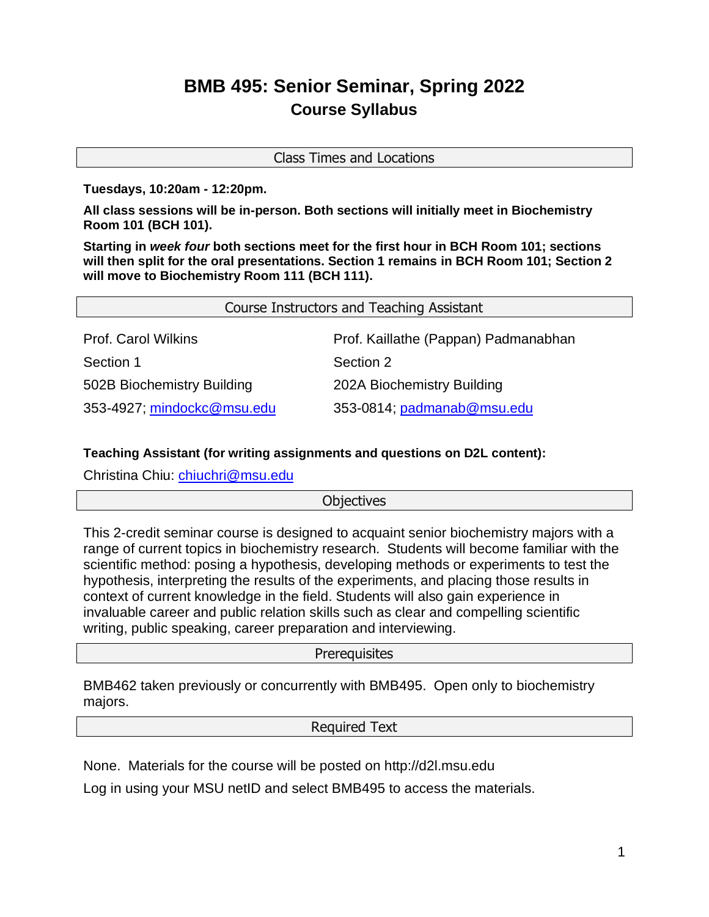# **BMB 495: Senior Seminar, Spring 2022 Course Syllabus**

Class Times and Locations

**Tuesdays, 10:20am - 12:20pm.** 

**All class sessions will be in-person. Both sections will initially meet in Biochemistry Room 101 (BCH 101).** 

**Starting in** *week four* **both sections meet for the first hour in BCH Room 101; sections will then split for the oral presentations. Section 1 remains in BCH Room 101; Section 2 will move to Biochemistry Room 111 (BCH 111).**

| Course Instructors and Teaching Assistant |                                      |
|-------------------------------------------|--------------------------------------|
| <b>Prof. Carol Wilkins</b>                | Prof. Kaillathe (Pappan) Padmanabhan |
| Section 1                                 | Section 2                            |
| 502B Biochemistry Building                | 202A Biochemistry Building           |
| 353-4927; mindockc@msu.edu                | 353-0814; padmanab@msu.edu           |

## **[Teaching As](mailto:padmanab@msu.edu)sistant (for writing assignments and questions on D2L content):**

Christina Chiu: [chiuchri@msu.edu](mailto:chiuchri@msu.edu)

## **[Objectives](mailto:chiuchri@msu.edu)**

[This](mailto:chiuchri@msu.edu) 2-credit seminar course is designed to acquaint senior biochemistry majors with a range of current topics in biochemistry research. Students will become familiar with the scientific method: posing a hypothesis, developing methods or experiments to test the hypothesis, interpreting the results of the experiments, and placing those results in context of current knowledge in the field. Students will also gain experience in invaluable career and public relation skills such as clear and compelling scientific writing, public speaking, career preparation and interviewing.

## Prerequisites

BMB462 taken previously or concurrently with BMB495. Open only to biochemistry majors.

#### Required Text

None. Materials for the course will be posted on http://d2l.msu.edu

Log in using your MSU netID and select BMB495 to access the materials.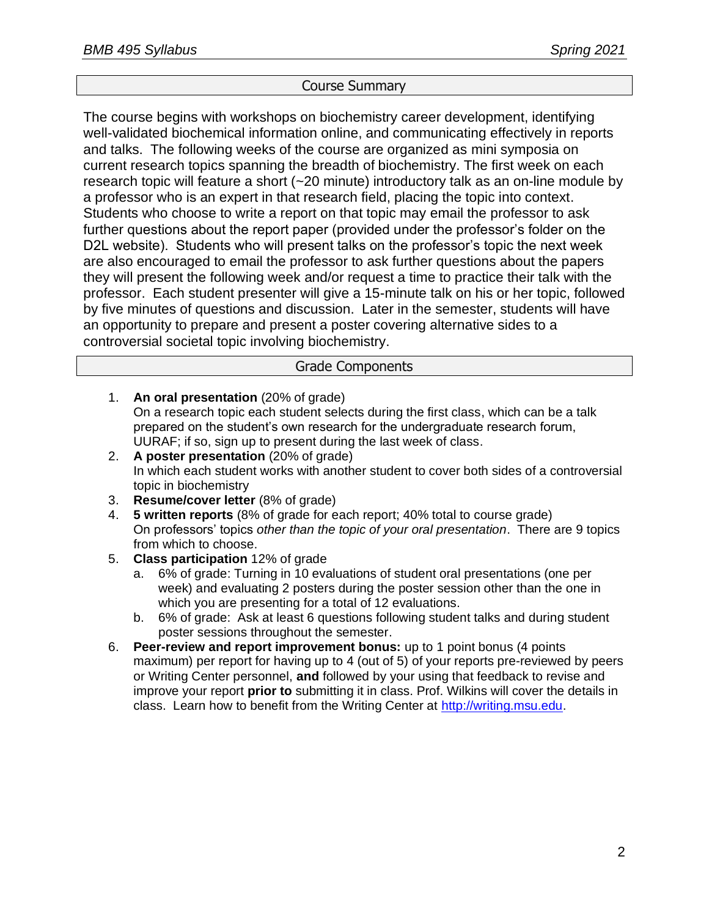# Course Summary

The course begins with workshops on biochemistry career development, identifying well-validated biochemical information online, and communicating effectively in reports and talks. The following weeks of the course are organized as mini symposia on current research topics spanning the breadth of biochemistry. The first week on each research topic will feature a short (~20 minute) introductory talk as an on-line module by a professor who is an expert in that research field, placing the topic into context. Students who choose to write a report on that topic may email the professor to ask further questions about the report paper (provided under the professor's folder on the D2L website). Students who will present talks on the professor's topic the next week are also encouraged to email the professor to ask further questions about the papers they will present the following week and/or request a time to practice their talk with the professor. Each student presenter will give a 15-minute talk on his or her topic, followed by five minutes of questions and discussion. Later in the semester, students will have an opportunity to prepare and present a poster covering alternative sides to a controversial societal topic involving biochemistry.

#### Grade Components

- 1. **An oral presentation** (20% of grade) On a research topic each student selects during the first class, which can be a talk prepared on the student's own research for the undergraduate research forum, UURAF; if so, sign up to present during the last week of class.
- 2. **A poster presentation** (20% of grade) In which each student works with another student to cover both sides of a controversial topic in biochemistry
- 3. **Resume/cover letter** (8% of grade)
- 4. **5 written reports** (8% of grade for each report; 40% total to course grade) On professors' topics *other than the topic of your oral presentation*. There are 9 topics from which to choose.
- 5. **Class participation** 12% of grade
	- a. 6% of grade: Turning in 10 evaluations of student oral presentations (one per week) and evaluating 2 posters during the poster session other than the one in which you are presenting for a total of 12 evaluations.
	- b. 6% of grade: Ask at least 6 questions following student talks and during student poster sessions throughout the semester.
- 6. **Peer-review and report improvement bonus:** up to 1 point bonus (4 points maximum) per report for having up to 4 (out of 5) of your reports pre-reviewed by peers or Writing Center personnel, **and** followed by your using that feedback to revise and improve your report **prior to** submitting it in class. Prof. Wilkins will cover the details in class. Learn how to benefit from the Writing Center at [http://writing.msu.edu.](http://writing.msu.edu/)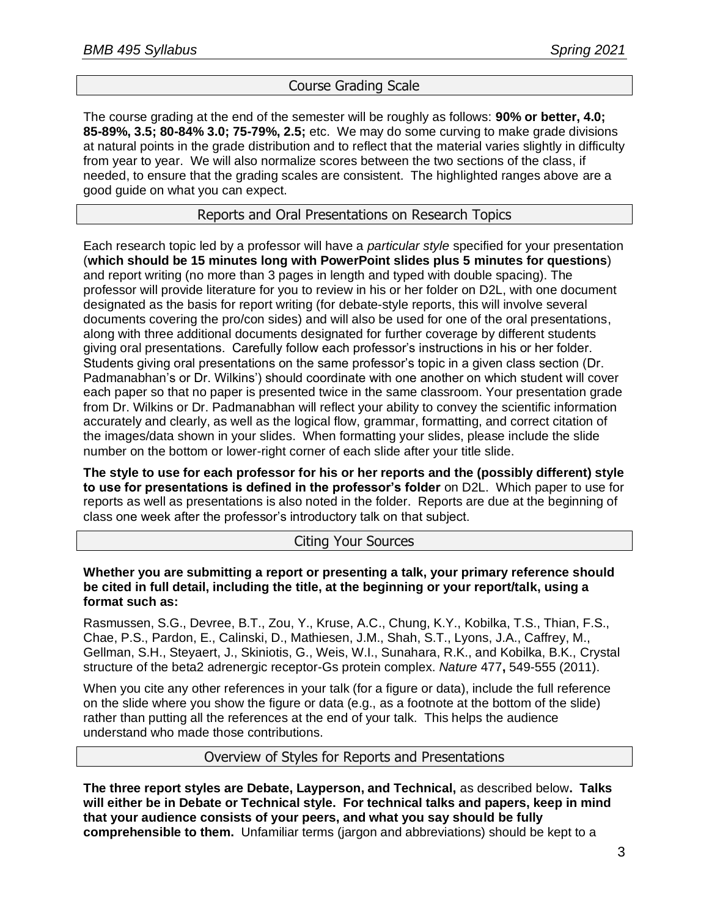# [Course Grading Sca](http://writing.msu.edu/)le

The course grading at the end of the semester will be roughly as follows: **90% or better, 4.0; 85-89%, 3.5; 80-84% 3.0; 75-79%, 2.5;** etc. We may do some curving to make grade divisions at natural points in the grade distribution and to reflect that the material varies slightly in difficulty from year to year. We will also normalize scores between the two sections of the class, if needed, to ensure that the grading scales are consistent. The highlighted ranges above are a good guide on what you can expect.

# Reports and Oral Presentations on Research Topics

Each research topic led by a professor will have a *particular style* specified for your presentation (**which should be 15 minutes long with PowerPoint slides plus 5 minutes for questions**) and report writing (no more than 3 pages in length and typed with double spacing). The professor will provide literature for you to review in his or her folder on D2L, with one document designated as the basis for report writing (for debate-style reports, this will involve several documents covering the pro/con sides) and will also be used for one of the oral presentations, along with three additional documents designated for further coverage by different students giving oral presentations. Carefully follow each professor's instructions in his or her folder. Students giving oral presentations on the same professor's topic in a given class section (Dr. Padmanabhan's or Dr. Wilkins') should coordinate with one another on which student will cover each paper so that no paper is presented twice in the same classroom. Your presentation grade from Dr. Wilkins or Dr. Padmanabhan will reflect your ability to convey the scientific information accurately and clearly, as well as the logical flow, grammar, formatting, and correct citation of the images/data shown in your slides. When formatting your slides, please include the slide number on the bottom or lower-right corner of each slide after your title slide.

**The style to use for each professor for his or her reports and the (possibly different) style to use for presentations is defined in the professor's folder** on D2L. Which paper to use for reports as well as presentations is also noted in the folder. Reports are due at the beginning of class one week after the professor's introductory talk on that subject.

## Citing Your Sources

**Whether you are submitting a report or presenting a talk, your primary reference should be cited in full detail, including the title, at the beginning or your report/talk, using a format such as:**

Rasmussen, S.G., Devree, B.T., Zou, Y., Kruse, A.C., Chung, K.Y., Kobilka, T.S., Thian, F.S., Chae, P.S., Pardon, E., Calinski, D., Mathiesen, J.M., Shah, S.T., Lyons, J.A., Caffrey, M., Gellman, S.H., Steyaert, J., Skiniotis, G., Weis, W.I., Sunahara, R.K., and Kobilka, B.K., Crystal structure of the beta2 adrenergic receptor-Gs protein complex. *Nature* 477**,** 549-555 (2011).

When you cite any other references in your talk (for a figure or data), include the full reference on the slide where you show the figure or data (e.g., as a footnote at the bottom of the slide) rather than putting all the references at the end of your talk. This helps the audience understand who made those contributions.

## Overview of Styles for Reports and Presentations

**The three report styles are Debate, Layperson, and Technical,** as described below**. Talks will either be in Debate or Technical style. For technical talks and papers, keep in mind that your audience consists of your peers, and what you say should be fully comprehensible to them.** Unfamiliar terms (jargon and abbreviations) should be kept to a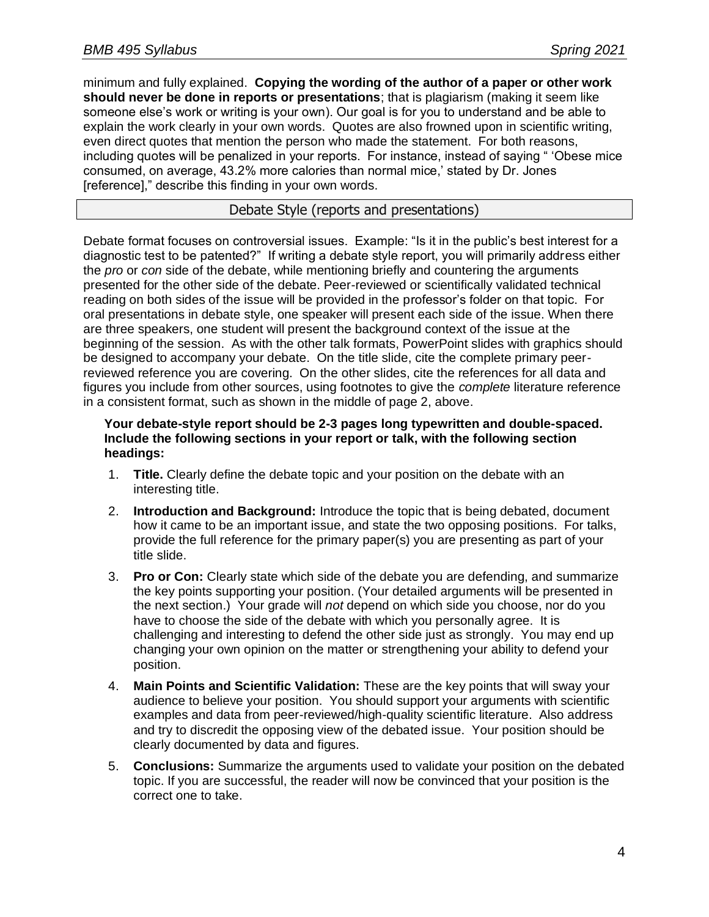minimum and fully explained. **Copying the wording of the author of a paper or other work should never be done in reports or presentations**; that is plagiarism (making it seem like someone else's work or writing is your own). Our goal is for you to understand and be able to explain the work clearly in your own words. Quotes are also frowned upon in scientific writing, even direct quotes that mention the person who made the statement. For both reasons, including quotes will be penalized in your reports. For instance, instead of saying " 'Obese mice consumed, on average, 43.2% more calories than normal mice,' stated by Dr. Jones [reference]," describe this finding in your own words.

# Debate Style (reports and presentations)

Debate format focuses on controversial issues. Example: "Is it in the public's best interest for a diagnostic test to be patented?" If writing a debate style report, you will primarily address either the *pro* or *con* side of the debate, while mentioning briefly and countering the arguments presented for the other side of the debate. Peer-reviewed or scientifically validated technical reading on both sides of the issue will be provided in the professor's folder on that topic. For oral presentations in debate style, one speaker will present each side of the issue. When there are three speakers, one student will present the background context of the issue at the beginning of the session. As with the other talk formats, PowerPoint slides with graphics should be designed to accompany your debate. On the title slide, cite the complete primary peerreviewed reference you are covering. On the other slides, cite the references for all data and figures you include from other sources, using footnotes to give the *complete* literature reference in a consistent format, such as shown in the middle of page 2, above.

#### **Your debate-style report should be 2-3 pages long typewritten and double-spaced. Include the following sections in your report or talk, with the following section headings:**

- 1. **Title.** Clearly define the debate topic and your position on the debate with an interesting title.
- 2. **Introduction and Background:** Introduce the topic that is being debated, document how it came to be an important issue, and state the two opposing positions. For talks, provide the full reference for the primary paper(s) you are presenting as part of your title slide.
- 3. **Pro or Con:** Clearly state which side of the debate you are defending, and summarize the key points supporting your position. (Your detailed arguments will be presented in the next section.) Your grade will *not* depend on which side you choose, nor do you have to choose the side of the debate with which you personally agree. It is challenging and interesting to defend the other side just as strongly. You may end up changing your own opinion on the matter or strengthening your ability to defend your position.
- 4. **Main Points and Scientific Validation:** These are the key points that will sway your audience to believe your position. You should support your arguments with scientific examples and data from peer-reviewed/high-quality scientific literature. Also address and try to discredit the opposing view of the debated issue. Your position should be clearly documented by data and figures.
- 5. **Conclusions:** Summarize the arguments used to validate your position on the debated topic. If you are successful, the reader will now be convinced that your position is the correct one to take.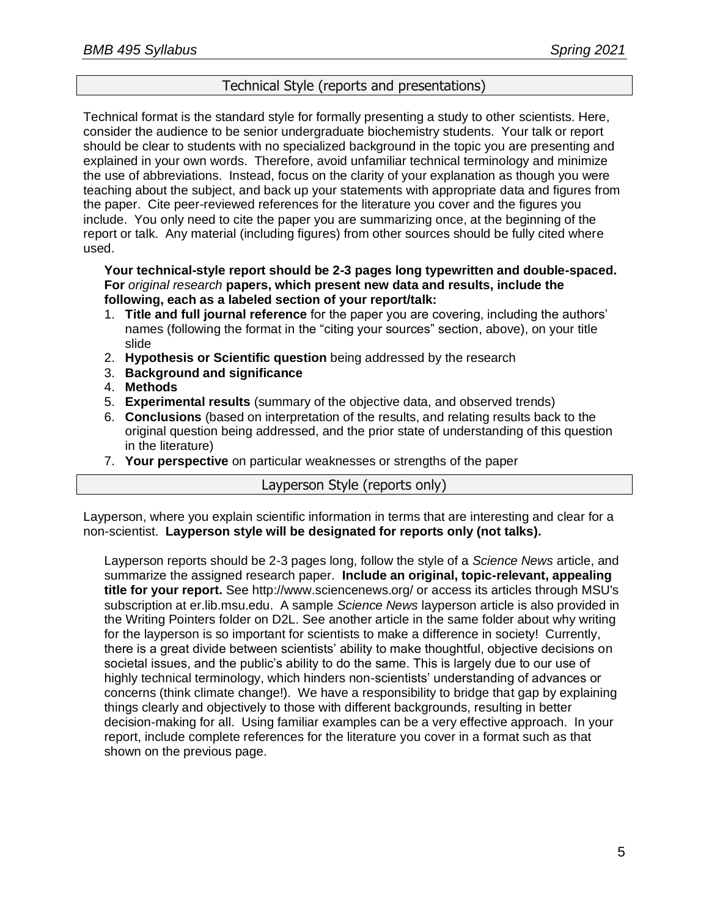## Technical Style (reports and presentations)

Technical format is the standard style for formally presenting a study to other scientists. Here, consider the audience to be senior undergraduate biochemistry students. Your talk or report should be clear to students with no specialized background in the topic you are presenting and explained in your own words. Therefore, avoid unfamiliar technical terminology and minimize the use of abbreviations. Instead, focus on the clarity of your explanation as though you were teaching about the subject, and back up your statements with appropriate data and figures from the paper. Cite peer-reviewed references for the literature you cover and the figures you include. You only need to cite the paper you are summarizing once, at the beginning of the report or talk. Any material (including figures) from other sources should be fully cited where used.

#### **Your technical-style report should be 2-3 pages long typewritten and double-spaced. For** *original research* **papers, which present new data and results, include the following, each as a labeled section of your report/talk:**

- 1. **Title and full journal reference** for the paper you are covering, including the authors' names (following the format in the "citing your sources" section, above), on your title slide
- 2. **Hypothesis or Scientific question** being addressed by the research
- 3. **Background and significance**
- 4. **Methods**
- 5. **Experimental results** (summary of the objective data, and observed trends)
- 6. **Conclusions** (based on interpretation of the results, and relating results back to the original question being addressed, and the prior state of understanding of this question in the literature)
- 7. **Your perspective** on particular weaknesses or strengths of the paper

# Layperson Style (reports only)

Layperson, where you explain scientific information in terms that are interesting and clear for a non-scientist. **Layperson style will be designated for reports only (not talks).**

Layperson reports should be 2-3 pages long, follow the style of a *Science News* article, and summarize the assigned research paper. **Include an original, topic-relevant, appealing title for your report.** See http://www.sciencenews.org/ or access its articles through MSU's subscription at er.lib.msu.edu. A sample *Science News* layperson article is also provided in the Writing Pointers folder on D2L. See another article in the same folder about why writing for the layperson is so important for scientists to make a difference in society! Currently, there is a great divide between scientists' ability to make thoughtful, objective decisions on societal issues, and the public's ability to do the same. This is largely due to our use of highly technical terminology, which hinders non-scientists' understanding of advances or concerns (think climate change!). We have a responsibility to bridge that gap by explaining things clearly and objectively to those with different backgrounds, resulting in better decision-making for all. Using familiar examples can be a very effective approach. In your report, include complete references for the literature you cover in a format such as that shown on the previous page.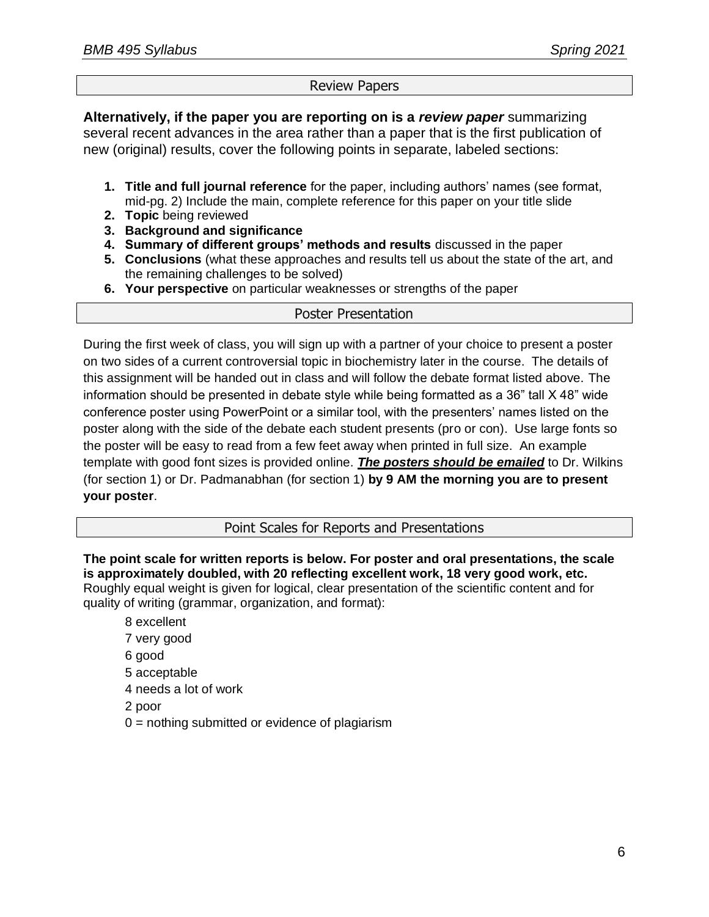# Review Papers

**Alternatively, if the paper you are reporting on is a** *review paper* summarizing several recent advances in the area rather than a paper that is the first publication of new (original) results, cover the following points in separate, labeled sections:

- **1. Title and full journal reference** for the paper, including authors' names (see format, mid-pg. 2) Include the main, complete reference for this paper on your title slide
- **2. Topic** being reviewed
- **3. Background and significance**
- **4. Summary of different groups' methods and results** discussed in the paper
- **5. Conclusions** (what these approaches and results tell us about the state of the art, and the remaining challenges to be solved)
- **6. Your perspective** on particular weaknesses or strengths of the paper

## Poster Presentation

During the first week of class, you will sign up with a partner of your choice to present a poster on two sides of a current controversial topic in biochemistry later in the course. The details of this assignment will be handed out in class and will follow the debate format listed above. The information should be presented in debate style while being formatted as a 36" tall X 48" wide conference poster using PowerPoint or a similar tool, with the presenters' names listed on the poster along with the side of the debate each student presents (pro or con). Use large fonts so the poster will be easy to read from a few feet away when printed in full size. An example template with good font sizes is provided online. *The posters should be emailed* to Dr. Wilkins (for section 1) or Dr. Padmanabhan (for section 1) **by 9 AM the morning you are to present your poster**.

# Point Scales for Reports and Presentations

**The point scale for written reports is below. For poster and oral presentations, the scale is approximately doubled, with 20 reflecting excellent work, 18 very good work, etc.** Roughly equal weight is given for logical, clear presentation of the scientific content and for quality of writing (grammar, organization, and format):

- 8 excellent 7 very good 6 good 5 acceptable 4 needs a lot of work 2 poor
- $0 =$  nothing submitted or evidence of plagiarism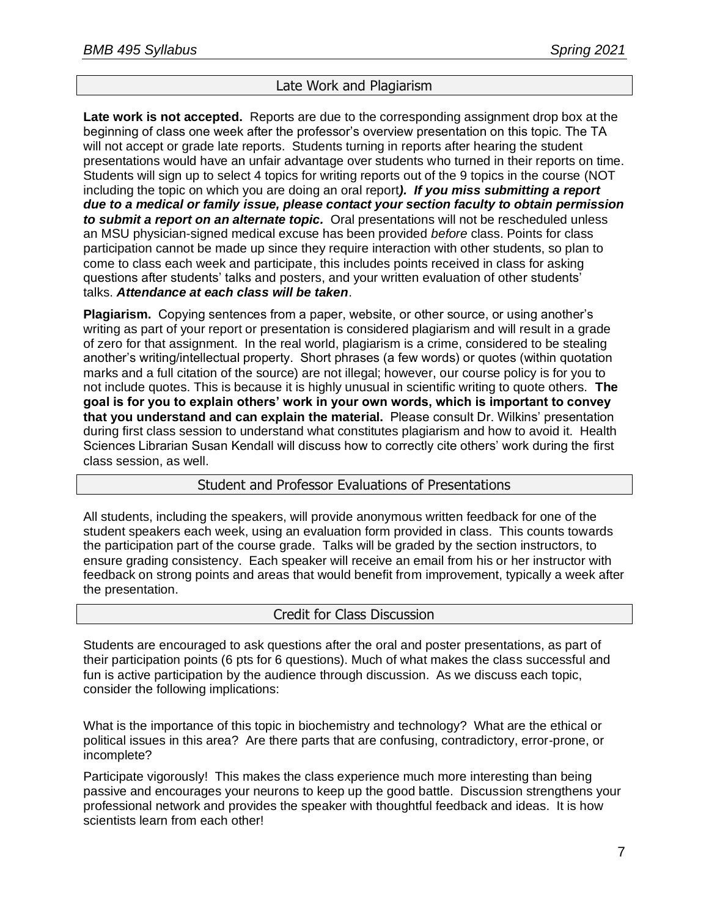# Late Work and Plagiarism

**Late work is not accepted.** Reports are due to the corresponding assignment drop box at the beginning of class one week after the professor's overview presentation on this topic. The TA will not accept or grade late reports. Students turning in reports after hearing the student presentations would have an unfair advantage over students who turned in their reports on time. Students will sign up to select 4 topics for writing reports out of the 9 topics in the course (NOT including the topic on which you are doing an oral report*). If you miss submitting a report due to a medical or family issue, please contact your section faculty to obtain permission to submit a report on an alternate topic.* Oral presentations will not be rescheduled unless an MSU physician-signed medical excuse has been provided *before* class. Points for class participation cannot be made up since they require interaction with other students, so plan to come to class each week and participate, this includes points received in class for asking questions after students' talks and posters, and your written evaluation of other students' talks. *Attendance at each class will be taken*.

**Plagiarism.** Copying sentences from a paper, website, or other source, or using another's writing as part of your report or presentation is considered plagiarism and will result in a grade of zero for that assignment. In the real world, plagiarism is a crime, considered to be stealing another's writing/intellectual property. Short phrases (a few words) or quotes (within quotation marks and a full citation of the source) are not illegal; however, our course policy is for you to not include quotes. This is because it is highly unusual in scientific writing to quote others. **The goal is for you to explain others' work in your own words, which is important to convey that you understand and can explain the material.** Please consult Dr. Wilkins' presentation during first class session to understand what constitutes plagiarism and how to avoid it. Health Sciences Librarian Susan Kendall will discuss how to correctly cite others' work during the first class session, as well.

## Student and Professor Evaluations of Presentations

All students, including the speakers, will provide anonymous written feedback for one of the student speakers each week, using an evaluation form provided in class. This counts towards the participation part of the course grade. Talks will be graded by the section instructors, to ensure grading consistency. Each speaker will receive an email from his or her instructor with feedback on strong points and areas that would benefit from improvement, typically a week after the presentation.

#### Credit for Class Discussion

Students are encouraged to ask questions after the oral and poster presentations, as part of their participation points (6 pts for 6 questions). Much of what makes the class successful and fun is active participation by the audience through discussion. As we discuss each topic, consider the following implications:

What is the importance of this topic in biochemistry and technology? What are the ethical or political issues in this area? Are there parts that are confusing, contradictory, error-prone, or incomplete?

Participate vigorously! This makes the class experience much more interesting than being passive and encourages your neurons to keep up the good battle. Discussion strengthens your professional network and provides the speaker with thoughtful feedback and ideas. It is how scientists learn from each other!